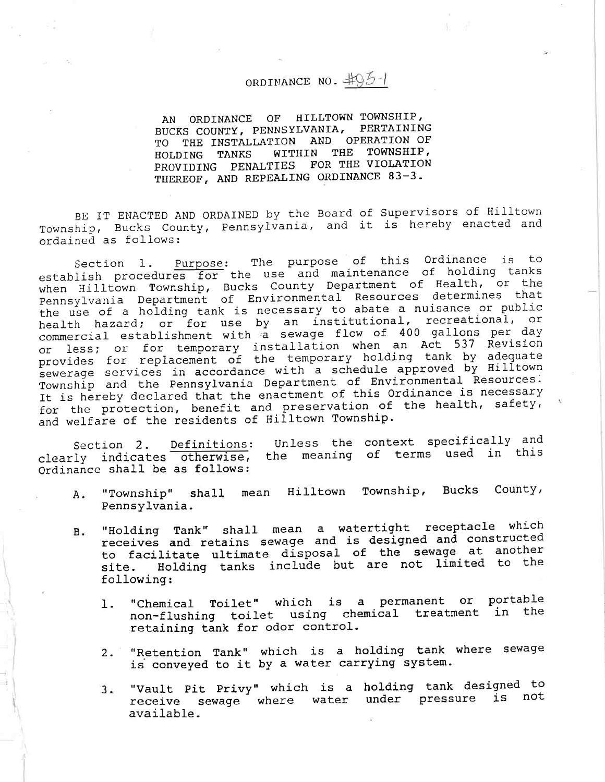## ORDINANCE NO.  $\#95-1$

AN ORDINANCE OF HILLTOWN TOWNSHIP, BUCKS COUNTY, PENNSYLVANIA, PERTAINING TO THE INSTALLATION AND OPERATION OF HOLDING TANKS WITHIN THE TOWNSHIP,<br>PROVIDING PENALTIES FOR THE VIOLATION PROVIDING PENALTIES FOR THE VIOLAT THEREOF, AND REPEALING ORDINANCE 83-

BE IT ENACTED AND ORDAINED by the Board of Supervisors of Hilltown Township, Bucks County, Pennsylvania, and it is hereby enacted and ordained as follows:

Section 1. Purpose: The purpose of this Ordinance is to establish procedures for the use and maintenance of holding tanks when Hilltown Township, Bucks County Department of Health, or the Pennsylvania Department of Environmental Resources determines that the use of <sup>a</sup> holding tank is necessary to abate a nuisance or public health hazard; or for use by an institutional, recreational, or commercial establishment with a sewage flow of 400 gallons per day or less; or for temporary installation when an Act 537 Revisi provides for replacement of the temporary holding tank by adequate sewerage services in accordance with a schedule approved by Hilltown Township and the Pennsylvania Department of Environmental Resources. It is hereby declared that the enactment of this Ordinance is necessary for the protection, benefit and preservation of the health, safety, and welfare of the residents of Hilltown Township.

Section 2. Definitions: Unless the context specifically an clearly indicates otherwise, the meaning of terms used in th Ordinance shall be as follows:

- A. "Township" shall mean Hilltown Township, Bucks County, Pennsylvania.
- B. "Holding Tank" shall mean <sup>a</sup> watertight receptacle which receives and retains sewage and is designed and constructed to facilitate ultimate disposal of the sewage at another site. Holding tanks include but are not limited to the following:
	- 1. "Chemical Toilet" which is a permanent or porta non-flushing toilet using chemical treatment in th retaininq tank for odor control.
	- 2. "Retention Tank" which is <sup>a</sup> holding tank where sewage is conveyed to it by a water carrying system.
	- 3. "Vault Pit Privy" which is a holding tank designed to receive sewage where water under pressure is not available.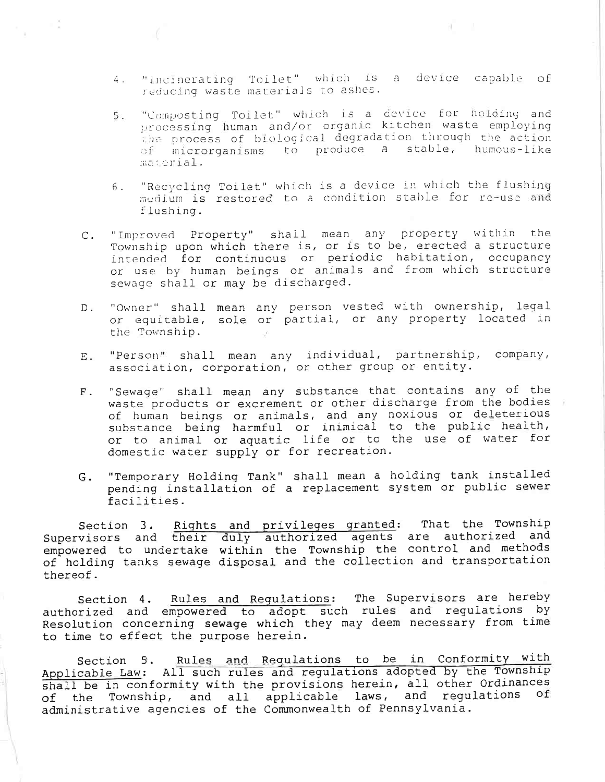- "Incinerating Toilet" which is a device capable of  $4.1$ reducing waste materials to ashes.
- "Composting Toilet" which is a device for holding and<br>processing human and/or organic kitchen waste employing 5. the process of biological degradation through the action of microrganisms to produce a stable, humous-like material.
- "Recycling Toilet" which is a device in which the flushing б. medium is restored to a condition stable for re-use and flushing.
- "Improved Property" shall mean any property within the<br>Township upon which there is, or is to be, erected a structure  $C$ . intended for continuous or periodic habitation, occupancy or use by human beings or animals and from which structure sewage shall or may be discharged.
- "Owner" shall mean any person vested with ownership, legal  $D$ . or equitable, sole or partial, or any property located in the Township.
- "Person" shall mean any individual, partnership, company, Ε. association, corporation, or other group or entity.
- "Sewage" shall mean any substance that contains any of the  $F$ . waste products or excrement or other discharge from the bodies of human beings or animals, and any noxious or deleterious<br>substance being harmful or inimical to the public health, or to animal or aquatic life or to the use of water for domestic water supply or for recreation.
- "Temporary Holding Tank" shall mean a holding tank installed G. pending installation of a replacement system or public sewer facilities.

Section 3. Rights and privileges granted: That the Township<br>Supervisors and their duly authorized agents are authorized and<br>empowered to undertake within the Township the control and methods of holding tanks sewage disposal and the collection and transportation thereof.

Rules and Regulations: The Supervisors are hereby Section 4. authorized and empowered to adopt such rules and regulations by Resolution concerning sewage which they may deem necessary from time to time to effect the purpose herein.

Section 5. Rules and Regulations to be in Conformity with Applicable Law: All such rules and regulations adopted by the Township shall be in conformity with the provisions herein, all other Ordinances the Township, and all applicable laws, and regulations of of administrative agencies of the Commonwealth of Pennsylvania.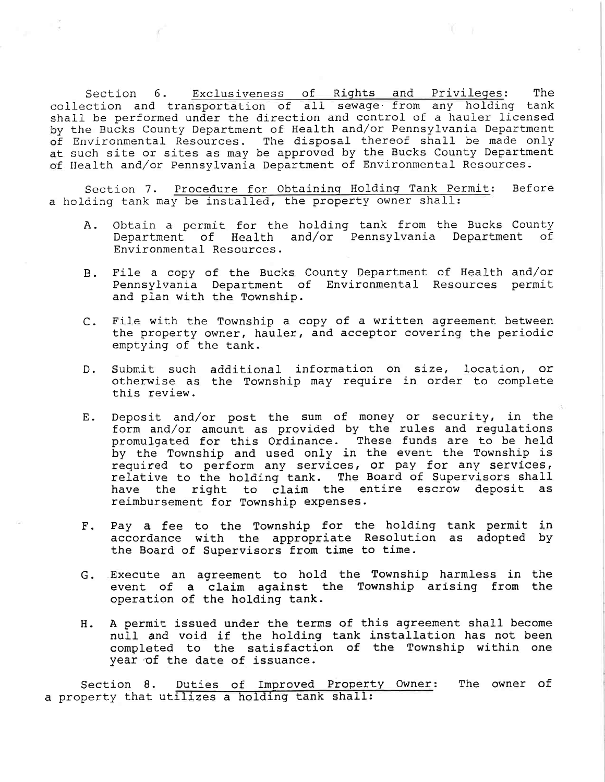Section 6. Exclusiveness of Riqhts and Privileges: The collection and transportation of all sewage from any holding tank shall be performed under the direction and control of a hauler licensed by the Bucks County Department of Health and/or Pennsylvania Department of Environmental Resources. The disposal thereof shall be made only at such site or sites as may be approved by the Bucks County Department of Health and/or Pennsylvania Department of Environmental Resources.

Section 7. Procedure for Obtaininq Holdinq Tank Permit: Before a holding tank may be installed, the property owner shall:

- A, Obtain a permit for the holding tank from the Bucks County Department of Health and/or Pennsylvania Department of Environmental Resources.
- B. File a copy of the Bucks County Department of Health and/ Pennsylvania Department of Environmental Resources perm and plan with the Township.
- C. File with the Township a copy of a written agreement between the property owner, hauler, and acceptor covering the periodic emptying of the tank.
- D. Submit such additional information on size, location, o otherwise as the Township may require in order to compl this review.
- E. Deposit and/or post the sum of money or security, in the form and/or amount as provided by the rules and regulations promulgated for this Ordinance. These funds are to be held by the Township and used only in the event the Township is required to perform any services, or pay for any services, relative to the holding tank. The Board of Supervisors shall have the right to claim the entire escrow deposit as reimbursement for Township expenses.
- F. Pay a fee to the Township for the holding tank permit in accordance with the appropriate Resolution as adopted by the Board of Supervisors from time to time.
- G. Execute an agreement to hold the Township harmless in the event of a claim against the Township arising from the operation of the holding tank.
- H. A permit issued under the terms of this agreement shall become null and void if the holding tank installation has not been completed to the satisfaction of the Township within one year of the date of issuance.

Section 8. Duties of Improved Property Owner: The owner of a property that utilizes a holding tank shall: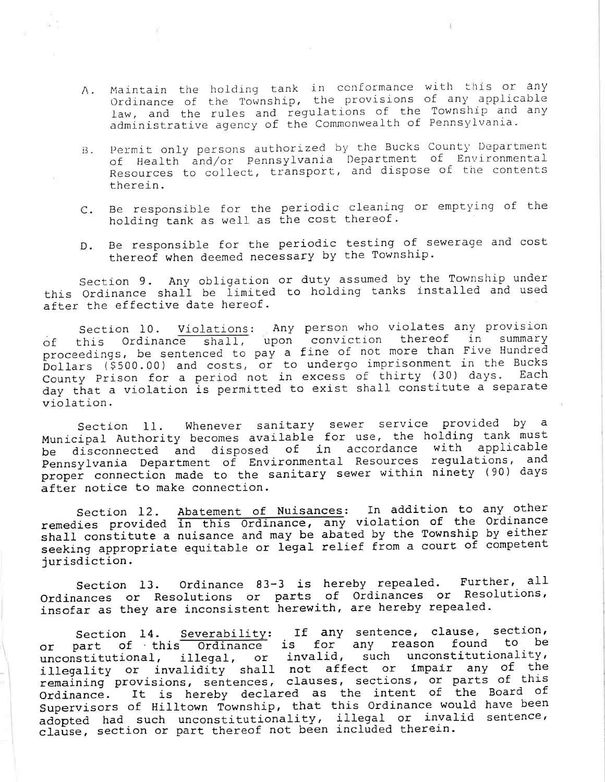- A. Maintain the holding tank in conformance with this or any Ordinance of the Township, the provisions of any applicable law, and the rules and regulations of the Township and any administrative agency of the Commonwealth of Pennsylvania.
- B. Permit only persons authorized by the Bucks County Department of Health and/or Pennsylvania I)epartment of Environmental Resources to collect, transport, and dispose of the contents therein.
- C. Be responsible for th holding tank as well as perio the cos cleaning or emptying of th thereof .
- D. Be responsible for the periodic testing of sewerage and cost thereof when deemed necessary by the Township.

Section 9. Any obligation or duty assumed by the Township under this Ordinance shall be limited to holding tanks installed and used after the effective date hereof.

Section 10. Violations: Any person who violates any provis of this Ordinance shall, upon conviction thereof in summar proceedings, be sentenced to pay a fine of not more than Five Hundred Dollars (S500. 00) and costs, or to undergo imprisonment in the Bucks County Prison for a period not in excess of thirty (30) days. Eac day that a violation is permitted to exist shall constitute a separate violation.

Section 11. Whenever sanitary sewer service provided by a Municipal Authority becomes available for use, the holding tank must be disconnected and disposed of in accordance with applicable Pennsylvania Department of Environmental Resources regulations, and proper connection made to the sanitary sewer within ninety (90) days after notice to make connection.

Abatement of Nuisances: In addition to any oth in this Ordinance, any violation of the Ordina shall constitute a nuisance and may be abated by the Township by eft. seeking appropriate equitable or legal relief from a court of compet Section 12 remedies provi )urisdiction.

Section 13. Ordinance 83-3 is hereby repealed. Further, all Ordinances or Resolutions or parts of Ordinances or Resolutions, insofar as they are inconsistent herewith, are hereby repealed.

Section 14. Severability: If any sentence, clause, section, or part of this Ordinance is for any reason found to be unconstitutional, illegal, or invalid, such unconstitu illegality or invalidity shall not affect or impair any of the remaining provisions, sentences, clauses, sections, or parts of this Ordinance. It is hereby declared as the intent of the Board Of Supervisors of Hilltown Township, that this Ordinance would have been adopted had such unconstitutionality, illegal or invalid sentence, clause, section or part thereof not been included therein.